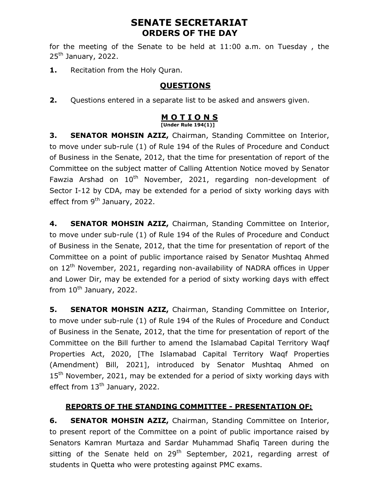# SENATE SECRETARIAT ORDERS OF THE DAY

for the meeting of the Senate to be held at 11:00 a.m. on Tuesday , the  $25<sup>th</sup>$  January, 2022.

1. Recitation from the Holy Quran.

## QUESTIONS

**2.** Questions entered in a separate list to be asked and answers given.

#### M O T I O N S  $\bm{\mathsf{[Under\ Rule\ 194(1)]}}$

3. SENATOR MOHSIN AZIZ, Chairman, Standing Committee on Interior, to move under sub-rule (1) of Rule 194 of the Rules of Procedure and Conduct of Business in the Senate, 2012, that the time for presentation of report of the Committee on the subject matter of Calling Attention Notice moved by Senator Fawzia Arshad on  $10^{th}$  November, 2021, regarding non-development of Sector I-12 by CDA, may be extended for a period of sixty working days with effect from 9<sup>th</sup> January, 2022.

4. SENATOR MOHSIN AZIZ, Chairman, Standing Committee on Interior, to move under sub-rule (1) of Rule 194 of the Rules of Procedure and Conduct of Business in the Senate, 2012, that the time for presentation of report of the Committee on a point of public importance raised by Senator Mushtaq Ahmed on 12<sup>th</sup> November, 2021, regarding non-availability of NADRA offices in Upper and Lower Dir, may be extended for a period of sixty working days with effect from  $10^{th}$  January, 2022.

**5. SENATOR MOHSIN AZIZ, Chairman, Standing Committee on Interior,** to move under sub-rule (1) of Rule 194 of the Rules of Procedure and Conduct of Business in the Senate, 2012, that the time for presentation of report of the Committee on the Bill further to amend the Islamabad Capital Territory Waqf Properties Act, 2020, [The Islamabad Capital Territory Waqf Properties (Amendment) Bill, 2021], introduced by Senator Mushtaq Ahmed on  $15<sup>th</sup>$  November, 2021, may be extended for a period of sixty working days with effect from  $13<sup>th</sup>$  January, 2022.

## REPORTS OF THE STANDING COMMITTEE - PRESENTATION OF:

**6. SENATOR MOHSIN AZIZ, Chairman, Standing Committee on Interior,** to present report of the Committee on a point of public importance raised by Senators Kamran Murtaza and Sardar Muhammad Shafiq Tareen during the sitting of the Senate held on  $29<sup>th</sup>$  September, 2021, regarding arrest of students in Quetta who were protesting against PMC exams.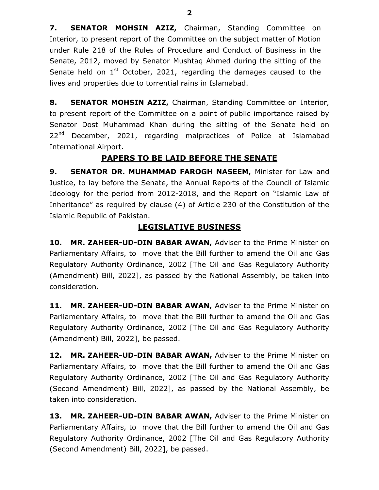7. **SENATOR MOHSIN AZIZ,** Chairman, Standing Committee on Interior, to present report of the Committee on the subject matter of Motion under Rule 218 of the Rules of Procedure and Conduct of Business in the Senate, 2012, moved by Senator Mushtaq Ahmed during the sitting of the Senate held on  $1<sup>st</sup>$  October, 2021, regarding the damages caused to the lives and properties due to torrential rains in Islamabad.

8. SENATOR MOHSIN AZIZ, Chairman, Standing Committee on Interior, to present report of the Committee on a point of public importance raised by Senator Dost Muhammad Khan during the sitting of the Senate held on 22<sup>nd</sup> December, 2021, regarding malpractices of Police at Islamabad International Airport.

#### PAPERS TO BE LAID BEFORE THE SENATE

9. SENATOR DR. MUHAMMAD FAROGH NASEEM, Minister for Law and Justice, to lay before the Senate, the Annual Reports of the Council of Islamic Ideology for the period from 2012-2018, and the Report on "Islamic Law of Inheritance" as required by clause (4) of Article 230 of the Constitution of the Islamic Republic of Pakistan.

#### LEGISLATIVE BUSINESS

10. MR. ZAHEER-UD-DIN BABAR AWAN, Adviser to the Prime Minister on Parliamentary Affairs, to move that the Bill further to amend the Oil and Gas Regulatory Authority Ordinance, 2002 [The Oil and Gas Regulatory Authority (Amendment) Bill, 2022], as passed by the National Assembly, be taken into consideration.

11. MR. ZAHEER-UD-DIN BABAR AWAN, Adviser to the Prime Minister on Parliamentary Affairs, to move that the Bill further to amend the Oil and Gas Regulatory Authority Ordinance, 2002 [The Oil and Gas Regulatory Authority (Amendment) Bill, 2022], be passed.

12. MR. ZAHEER-UD-DIN BABAR AWAN, Adviser to the Prime Minister on Parliamentary Affairs, to move that the Bill further to amend the Oil and Gas Regulatory Authority Ordinance, 2002 [The Oil and Gas Regulatory Authority (Second Amendment) Bill, 2022], as passed by the National Assembly, be taken into consideration.

13. MR. ZAHEER-UD-DIN BABAR AWAN, Adviser to the Prime Minister on Parliamentary Affairs, to move that the Bill further to amend the Oil and Gas Regulatory Authority Ordinance, 2002 [The Oil and Gas Regulatory Authority (Second Amendment) Bill, 2022], be passed.